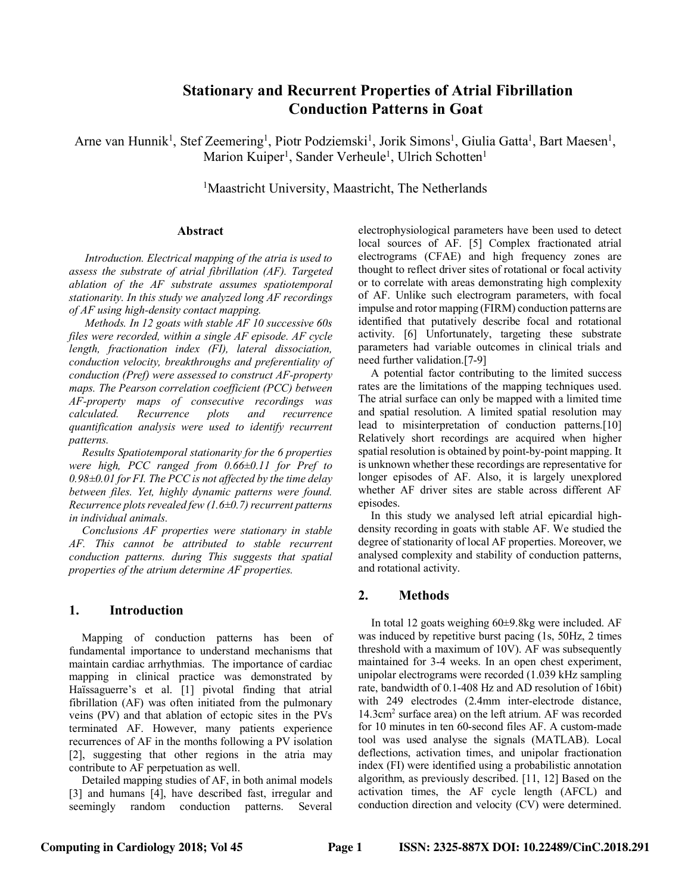# **Stationary and Recurrent Properties of Atrial Fibrillation Conduction Patterns in Goat**

Arne van Hunnik<sup>1</sup>, Stef Zeemering<sup>1</sup>, Piotr Podziemski<sup>1</sup>, Jorik Simons<sup>1</sup>, Giulia Gatta<sup>1</sup>, Bart Maesen<sup>1</sup>, Marion Kuiper<sup>1</sup>, Sander Verheule<sup>1</sup>, Ulrich Schotten<sup>1</sup>

<sup>1</sup>Maastricht University, Maastricht, The Netherlands

#### **Abstract**

*Introduction. Electrical mapping of the atria is used to assess the substrate of atrial fibrillation (AF). Targeted ablation of the AF substrate assumes spatiotemporal stationarity. In this study we analyzed long AF recordings of AF using high-density contact mapping.* 

*Methods. In 12 goats with stable AF 10 successive 60s files were recorded, within a single AF episode. AF cycle length, fractionation index (FI), lateral dissociation, conduction velocity, breakthroughs and preferentiality of conduction (Pref) were assessed to construct AF-property maps. The Pearson correlation coefficient (PCC) between AF-property maps of consecutive recordings was calculated. Recurrence plots and recurrence quantification analysis were used to identify recurrent patterns.* 

*Results Spatiotemporal stationarity for the 6 properties were high, PCC ranged from 0.66±0.11 for Pref to 0.98±0.01 for FI. The PCC is not affected by the time delay between files. Yet, highly dynamic patterns were found. Recurrence plots revealed few (1.6±0.7) recurrent patterns in individual animals.*

*Conclusions AF properties were stationary in stable AF. This cannot be attributed to stable recurrent conduction patterns. during This suggests that spatial properties of the atrium determine AF properties.*

### **1. Introduction**

Mapping of conduction patterns has been of fundamental importance to understand mechanisms that maintain cardiac arrhythmias. The importance of cardiac mapping in clinical practice was demonstrated by Haïssaguerre's et al. [1] pivotal finding that atrial fibrillation (AF) was often initiated from the pulmonary veins (PV) and that ablation of ectopic sites in the PVs terminated AF. However, many patients experience recurrences of AF in the months following a PV isolation [2], suggesting that other regions in the atria may contribute to AF perpetuation as well.

Detailed mapping studies of AF, in both animal models [3] and humans [4], have described fast, irregular and seemingly random conduction patterns. Several electrophysiological parameters have been used to detect local sources of AF. [5] Complex fractionated atrial electrograms (CFAE) and high frequency zones are thought to reflect driver sites of rotational or focal activity or to correlate with areas demonstrating high complexity of AF. Unlike such electrogram parameters, with focal impulse and rotor mapping (FIRM) conduction patterns are identified that putatively describe focal and rotational activity. [6] Unfortunately, targeting these substrate parameters had variable outcomes in clinical trials and need further validation.[7-9]

A potential factor contributing to the limited success rates are the limitations of the mapping techniques used. The atrial surface can only be mapped with a limited time and spatial resolution. A limited spatial resolution may lead to misinterpretation of conduction patterns.[10] Relatively short recordings are acquired when higher spatial resolution is obtained by point-by-point mapping. It is unknown whether these recordings are representative for longer episodes of AF. Also, it is largely unexplored whether AF driver sites are stable across different AF episodes.

In this study we analysed left atrial epicardial highdensity recording in goats with stable AF. We studied the degree of stationarity of local AF properties. Moreover, we analysed complexity and stability of conduction patterns, and rotational activity.

## **2. Methods**

In total 12 goats weighing 60±9.8kg were included. AF was induced by repetitive burst pacing (1s, 50Hz, 2 times threshold with a maximum of 10V). AF was subsequently maintained for 3-4 weeks. In an open chest experiment, unipolar electrograms were recorded (1.039 kHz sampling rate, bandwidth of 0.1-408 Hz and AD resolution of 16bit) with 249 electrodes (2.4mm inter-electrode distance, 14.3cm2 surface area) on the left atrium. AF was recorded for 10 minutes in ten 60-second files AF. A custom-made tool was used analyse the signals (MATLAB). Local deflections, activation times, and unipolar fractionation index (FI) were identified using a probabilistic annotation algorithm, as previously described. [11, 12] Based on the activation times, the AF cycle length (AFCL) and conduction direction and velocity (CV) were determined.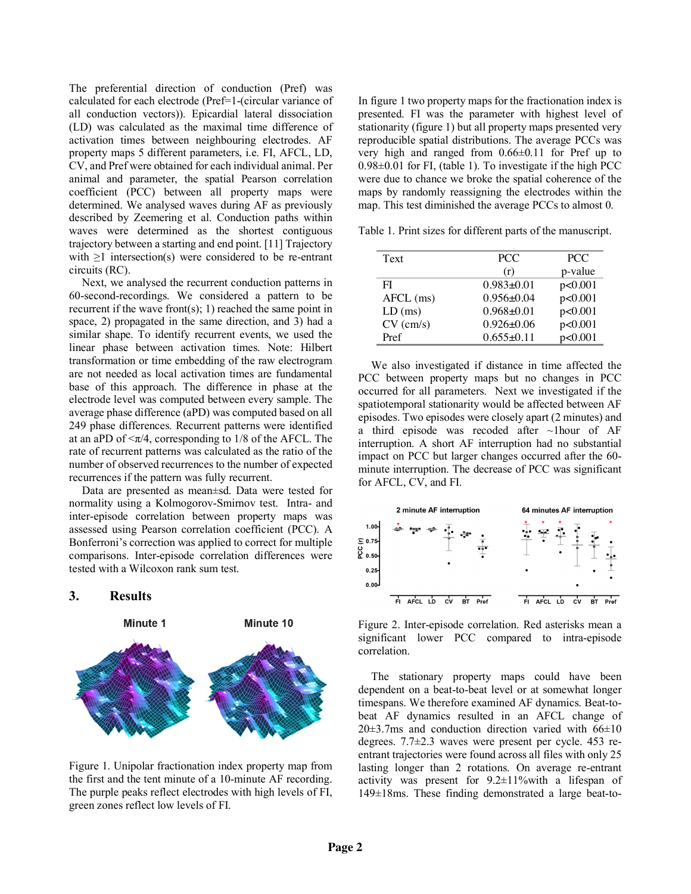The preferential direction of conduction (Pref) was calculated for each electrode (Pref=1-(circular variance of all conduction vectors)). Epicardial lateral dissociation (LD) was calculated as the maximal time difference of activation times between neighbouring electrodes. AF property maps 5 different parameters, i.e. FI, AFCL, LD, CV, and Pref were obtained for each individual animal. Per animal and parameter, the spatial Pearson correlation coefficient (PCC) between all property maps were determined. We analysed waves during AF as previously described by Zeemering et al. Conduction paths within waves were determined as the shortest contiguous trajectory between a starting and end point. [11] Trajectory with ≥1 intersection(s) were considered to be re-entrant circuits (RC).

Next, we analysed the recurrent conduction patterns in 60-second-recordings. We considered a pattern to be recurrent if the wave front $(s)$ ; 1) reached the same point in space, 2) propagated in the same direction, and 3) had a similar shape. To identify recurrent events, we used the linear phase between activation times. Note: Hilbert transformation or time embedding of the raw electrogram are not needed as local activation times are fundamental base of this approach. The difference in phase at the electrode level was computed between every sample. The average phase difference (aPD) was computed based on all 249 phase differences. Recurrent patterns were identified at an aPD of  $\langle \pi/4$ , corresponding to 1/8 of the AFCL. The rate of recurrent patterns was calculated as the ratio of the number of observed recurrences to the number of expected recurrences if the pattern was fully recurrent.

Data are presented as mean±sd. Data were tested for normality using a Kolmogorov-Smirnov test. Intra- and inter-episode correlation between property maps was assessed using Pearson correlation coefficient (PCC). A Bonferroni's correction was applied to correct for multiple comparisons. Inter-episode correlation differences were tested with a Wilcoxon rank sum test.

# **3. Results**



Figure 1. Unipolar fractionation index property map from the first and the tent minute of a 10-minute AF recording. The purple peaks reflect electrodes with high levels of FI, green zones reflect low levels of FI.

In figure 1 two property maps for the fractionation index is presented. FI was the parameter with highest level of stationarity (figure 1) but all property maps presented very reproducible spatial distributions. The average PCCs was very high and ranged from 0.66±0.11 for Pref up to 0.98±0.01 for FI, (table 1). To investigate if the high PCC were due to chance we broke the spatial coherence of the maps by randomly reassigning the electrodes within the map. This test diminished the average PCCs to almost 0.

Table 1. Print sizes for different parts of the manuscript.

| Text        | <b>PCC</b>       | <b>PCC</b> |
|-------------|------------------|------------|
|             | (r)              | p-value    |
| FI          | $0.983+0.01$     | p<0.001    |
| $AFCL$ (ms) | $0.956 \pm 0.04$ | p<0.001    |
| $LD$ (ms)   | $0.968 + 0.01$   | p<0.001    |
| $CV$ (cm/s) | $0.926 \pm 0.06$ | p<0.001    |
| Pref        | $0.655 \pm 0.11$ | p<0.001    |

We also investigated if distance in time affected the PCC between property maps but no changes in PCC occurred for all parameters. Next we investigated if the spatiotemporal stationarity would be affected between AF episodes. Two episodes were closely apart (2 minutes) and a third episode was recoded after ~1hour of AF interruption. A short AF interruption had no substantial impact on PCC but larger changes occurred after the 60 minute interruption. The decrease of PCC was significant for AFCL, CV, and FI.



Figure 2. Inter-episode correlation. Red asterisks mean a significant lower PCC compared to intra-episode correlation.

The stationary property maps could have been dependent on a beat-to-beat level or at somewhat longer timespans. We therefore examined AF dynamics. Beat-tobeat AF dynamics resulted in an AFCL change of  $20\pm3.7$ ms and conduction direction varied with  $66\pm10$ degrees. 7.7±2.3 waves were present per cycle. 453 reentrant trajectories were found across all files with only 25 lasting longer than 2 rotations. On average re-entrant activity was present for  $9.2 \pm 11\%$  with a lifespan of 149±18ms. These finding demonstrated a large beat-to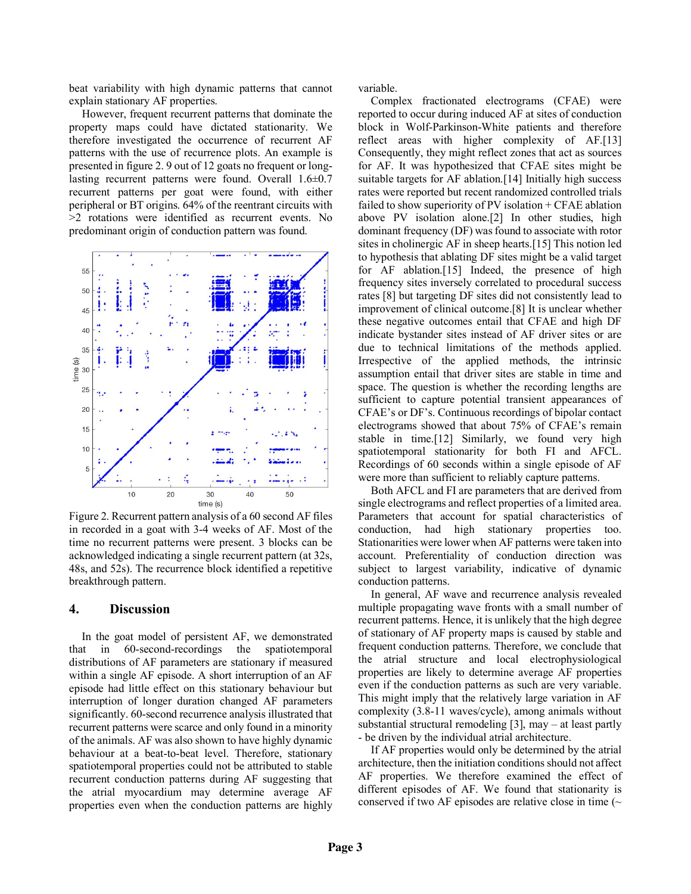beat variability with high dynamic patterns that cannot explain stationary AF properties.

However, frequent recurrent patterns that dominate the property maps could have dictated stationarity. We therefore investigated the occurrence of recurrent AF patterns with the use of recurrence plots. An example is presented in figure 2. 9 out of 12 goats no frequent or longlasting recurrent patterns were found. Overall 1.6±0.7 recurrent patterns per goat were found, with either peripheral or BT origins. 64% of the reentrant circuits with >2 rotations were identified as recurrent events. No predominant origin of conduction pattern was found.



Figure 2. Recurrent pattern analysis of a 60 second AF files in recorded in a goat with 3-4 weeks of AF. Most of the time no recurrent patterns were present. 3 blocks can be acknowledged indicating a single recurrent pattern (at 32s, 48s, and 52s). The recurrence block identified a repetitive breakthrough pattern.

#### **4. Discussion**

In the goat model of persistent AF, we demonstrated that in 60-second-recordings the spatiotemporal distributions of AF parameters are stationary if measured within a single AF episode. A short interruption of an AF episode had little effect on this stationary behaviour but interruption of longer duration changed AF parameters significantly. 60-second recurrence analysis illustrated that recurrent patterns were scarce and only found in a minority of the animals. AF was also shown to have highly dynamic behaviour at a beat-to-beat level. Therefore, stationary spatiotemporal properties could not be attributed to stable recurrent conduction patterns during AF suggesting that the atrial myocardium may determine average AF properties even when the conduction patterns are highly variable.

Complex fractionated electrograms (CFAE) were reported to occur during induced AF at sites of conduction block in Wolf-Parkinson-White patients and therefore reflect areas with higher complexity of AF.[13] Consequently, they might reflect zones that act as sources for AF. It was hypothesized that CFAE sites might be suitable targets for AF ablation.<sup>[14]</sup> Initially high success rates were reported but recent randomized controlled trials failed to show superiority of PV isolation + CFAE ablation above PV isolation alone.[2] In other studies, high dominant frequency (DF) was found to associate with rotor sites in cholinergic AF in sheep hearts.[15] This notion led to hypothesis that ablating DF sites might be a valid target for AF ablation.[15] Indeed, the presence of high frequency sites inversely correlated to procedural success rates [8] but targeting DF sites did not consistently lead to improvement of clinical outcome.[8] It is unclear whether these negative outcomes entail that CFAE and high DF indicate bystander sites instead of AF driver sites or are due to technical limitations of the methods applied. Irrespective of the applied methods, the intrinsic assumption entail that driver sites are stable in time and space. The question is whether the recording lengths are sufficient to capture potential transient appearances of CFAE's or DF's. Continuous recordings of bipolar contact electrograms showed that about 75% of CFAE's remain stable in time.[12] Similarly, we found very high spatiotemporal stationarity for both FI and AFCL. Recordings of 60 seconds within a single episode of AF were more than sufficient to reliably capture patterns.

Both AFCL and FI are parameters that are derived from single electrograms and reflect properties of a limited area. Parameters that account for spatial characteristics of conduction, had high stationary properties too. Stationarities were lower when AF patterns were taken into account. Preferentiality of conduction direction was subject to largest variability, indicative of dynamic conduction patterns.

In general, AF wave and recurrence analysis revealed multiple propagating wave fronts with a small number of recurrent patterns. Hence, it is unlikely that the high degree of stationary of AF property maps is caused by stable and frequent conduction patterns. Therefore, we conclude that the atrial structure and local electrophysiological properties are likely to determine average AF properties even if the conduction patterns as such are very variable. This might imply that the relatively large variation in AF complexity (3.8-11 waves/cycle), among animals without substantial structural remodeling [3], may – at least partly - be driven by the individual atrial architecture.

If AF properties would only be determined by the atrial architecture, then the initiation conditions should not affect AF properties. We therefore examined the effect of different episodes of AF. We found that stationarity is conserved if two AF episodes are relative close in time  $(\sim$